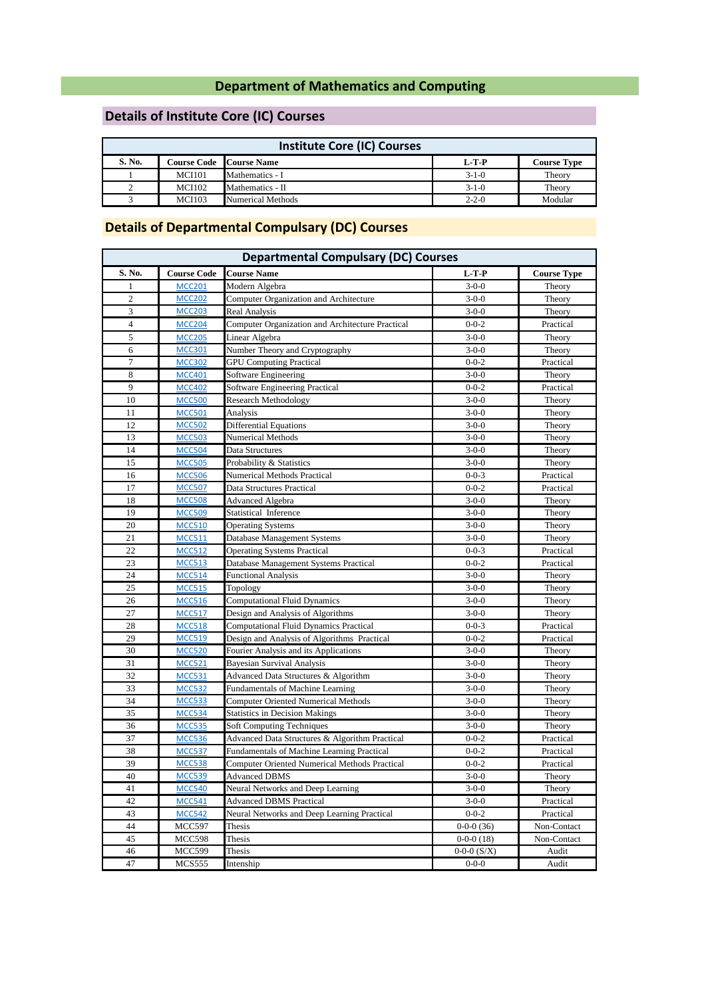### **Department of Mathematics and Computing**

# **Details of Institute Core (IC) Courses**

| <b>Institute Core (IC) Courses</b> |               |                                |             |                    |
|------------------------------------|---------------|--------------------------------|-------------|--------------------|
| S. No.                             |               | <b>Course Code Course Name</b> | $L-T-P$     | <b>Course Type</b> |
|                                    | <b>MCI101</b> | Mathematics - I                | $3-1-0$     | Theory             |
|                                    | <b>MCI102</b> | Mathematics - II               | $3-1-0$     | Theory             |
|                                    | <b>MCI103</b> | Numerical Methods              | $2 - 2 - 0$ | Modular            |

### **Details of Departmental Compulsary (DC) Courses**

| <b>Departmental Compulsary (DC) Courses</b> |                                |                                                      |                                |                      |
|---------------------------------------------|--------------------------------|------------------------------------------------------|--------------------------------|----------------------|
| S. No.                                      | <b>Course Code</b>             | <b>Course Name</b>                                   | $L-T-P$                        | <b>Course Type</b>   |
| $\mathbf{1}$                                | <b>MCC201</b>                  | Modern Algebra                                       | $3-0-0$                        | Theory               |
| $\mathfrak{2}$                              | <b>MCC202</b>                  | Computer Organization and Architecture               | $3 - 0 - 0$                    | Theory               |
| 3                                           | <b>MCC203</b>                  | Real Analysis                                        | $3-0-0$                        | Theory               |
| $\overline{4}$                              | <b>MCC204</b>                  | Computer Organization and Architecture Practical     | $0 - 0 - 2$                    | Practical            |
| 5                                           | <b>MCC205</b>                  | Linear Algebra                                       | $3 - 0 - 0$                    | Theory               |
| 6                                           | <b>MCC301</b>                  | Number Theory and Cryptography                       | $3 - 0 - 0$                    | Theory               |
| $\tau$                                      | <b>MCC302</b>                  | <b>GPU Computing Practical</b>                       | $0 - 0 - 2$                    | Practical            |
| $\,8\,$                                     | <b>MCC401</b>                  | Software Engineering                                 | $3-0-0$                        | Theory               |
| 9                                           | <b>MCC402</b>                  | Software Engineering Practical                       | $0 - 0 - 2$                    | Practical            |
| 10                                          | <b>MCC500</b>                  | <b>Research Methodology</b>                          | $3-0-0$                        | Theory               |
| 11                                          | <b>MCC501</b>                  | Analysis                                             | $3 - 0 - 0$                    | Theory               |
| 12                                          | <b>MCC502</b>                  | <b>Differential Equations</b>                        | $3-0-0$                        | Theory               |
| 13                                          | <b>MCC503</b>                  | Numerical Methods                                    | $3-0-0$                        | Theory               |
| 14                                          | <b>MCC504</b>                  | Data Structures                                      | $3-0-0$                        | Theory               |
| 15                                          | <b>MCC505</b>                  | Probability & Statistics                             | $3-0-0$                        | Theory               |
| 16                                          | <b>MCC506</b>                  | Numerical Methods Practical                          | $0 - 0 - 3$                    | Practical            |
| 17                                          | <b>MCC507</b>                  | Data Structures Practical                            | $0 - 0 - 2$                    | Practical            |
| 18                                          | <b>MCC508</b>                  | Advanced Algebra                                     | $3-0-0$                        | Theory               |
| 19                                          | <b>MCC509</b>                  | Statistical Inference                                | $3-0-0$                        | Theory               |
| 20                                          | <b>MCC510</b>                  | <b>Operating Systems</b>                             | $3-0-0$                        | Theory               |
| 21                                          | <b>MCC511</b>                  | Database Management Systems                          | $3-0-0$                        | Theory               |
| 22                                          | <b>MCC512</b>                  | <b>Operating Systems Practical</b>                   | $0 - 0 - 3$                    | Practical            |
| 23                                          | <b>MCC513</b>                  | Database Management Systems Practical                | $0 - 0 - 2$                    | Practical            |
| 24                                          | <b>MCC514</b>                  | <b>Functional Analysis</b>                           | $3-0-0$                        | Theory               |
| 25                                          | <b>MCC515</b>                  | Topology                                             | $3-0-0$                        | Theory               |
| 26                                          | <b>MCC516</b>                  | <b>Computational Fluid Dynamics</b>                  | $3-0-0$                        | Theory               |
| 27                                          | <b>MCC517</b>                  | Design and Analysis of Algorithms                    | $3 - 0 - 0$                    | Theory               |
| 28                                          | <b>MCC518</b>                  | <b>Computational Fluid Dynamics Practical</b>        | $0 - 0 - 3$                    | Practical            |
| 29                                          | <b>MCC519</b>                  | Design and Analysis of Algorithms Practical          | $0 - 0 - 2$                    | Practical            |
| 30                                          | <b>MCC520</b>                  | Fourier Analysis and its Applications                | $3-0-0$                        | Theory               |
| 31                                          | <b>MCC521</b>                  | <b>Bayesian Survival Analysis</b>                    | $3-0-0$                        | Theory               |
| 32                                          | <b>MCC531</b>                  | Advanced Data Structures & Algorithm                 | $3-0-0$                        | Theory               |
| 33                                          | <b>MCC532</b>                  | <b>Fundamentals of Machine Learning</b>              | $3-0-0$                        | Theory               |
| 34                                          | <b>MCC533</b>                  | <b>Computer Oriented Numerical Methods</b>           | $3-0-0$                        | Theory               |
| 35                                          | <b>MCC534</b>                  | <b>Statistics in Decision Makings</b>                | $3-0-0$                        | Theory               |
| 36                                          | <b>MCC535</b>                  | <b>Soft Computing Techniques</b>                     | $3-0-0$                        | Theory               |
| 37                                          | <b>MCC536</b>                  | Advanced Data Structures & Algorithm Practical       | $0 - 0 - 2$                    | Practical            |
| 38                                          | <b>MCC537</b>                  | Fundamentals of Machine Learning Practical           | $0 - 0 - 2$                    | Practical            |
| 39                                          | <b>MCC538</b>                  | <b>Computer Oriented Numerical Methods Practical</b> | $0 - 0 - 2$                    | Practical            |
| 40                                          | <b>MCC539</b>                  | <b>Advanced DBMS</b>                                 | $3-0-0$                        | Theory               |
| 41                                          | <b>MCC540</b>                  | Neural Networks and Deep Learning                    | $3-0-0$                        | Theory               |
| 42                                          | <b>MCC541</b>                  | <b>Advanced DBMS Practical</b>                       | $3-0-0$                        | Practical            |
| 43                                          | <b>MCC542</b>                  | Neural Networks and Deep Learning Practical          | $0 - 0 - 2$                    | Practical            |
| 44                                          | MCC597                         | Thesis                                               | $0-0-0(36)$                    | Non-Contact          |
| 45<br>46                                    | <b>MCC598</b><br><b>MCC599</b> | Thesis<br>Thesis                                     | $0-0-0(18)$<br>$0-0-0$ $(S/X)$ | Non-Contact<br>Audit |
| 47                                          | <b>MCS555</b>                  | Intenship                                            | $0 - 0 - 0$                    | Audit                |
|                                             |                                |                                                      |                                |                      |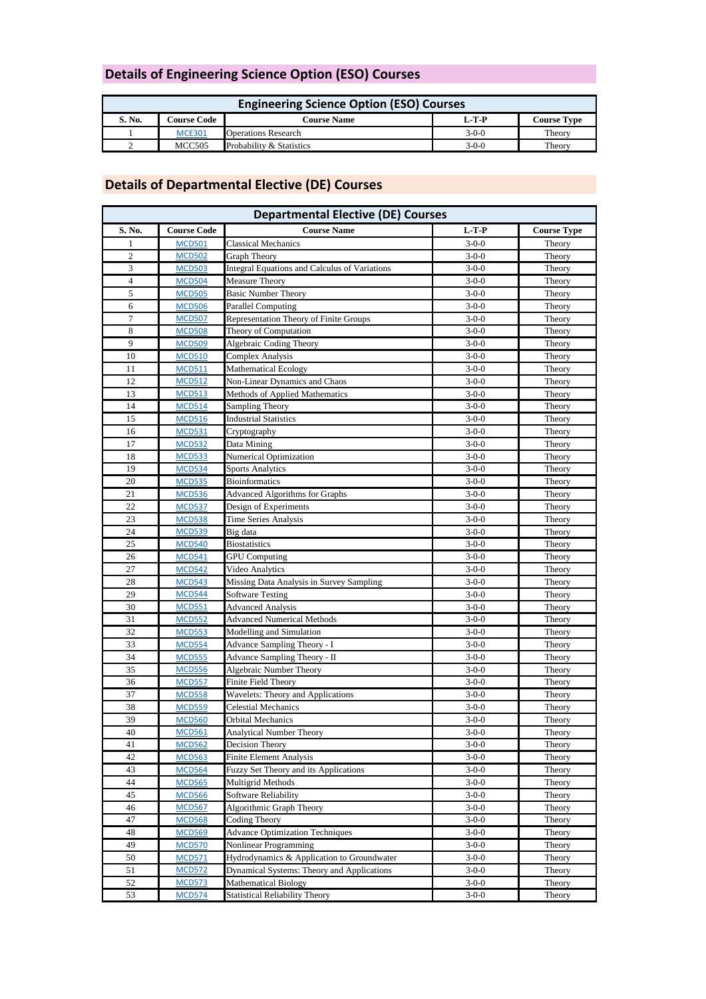# **Details of Engineering Science Option (ESO) Courses**

| <b>Engineering Science Option (ESO) Courses</b> |                    |                            |         |                    |
|-------------------------------------------------|--------------------|----------------------------|---------|--------------------|
| S. No.                                          | <b>Course Code</b> | <b>Course Name</b>         | L-T-P   | <b>Course Type</b> |
|                                                 | <b>MCE301</b>      | <b>Operations Research</b> | $3-0-0$ | Theory             |
|                                                 | <b>MCC505</b>      | Probability & Statistics   | $3-0-0$ | Theory             |

# **Details of Departmental Elective (DE) Courses**

| <b>Departmental Elective (DE) Courses</b> |                    |                                                      |             |                    |
|-------------------------------------------|--------------------|------------------------------------------------------|-------------|--------------------|
| S. No.                                    | <b>Course Code</b> | <b>Course Name</b>                                   | $L-T-P$     | <b>Course Type</b> |
| 1                                         | <b>MCD501</b>      | <b>Classical Mechanics</b>                           | $3-0-0$     | Theory             |
| $\overline{2}$                            | <b>MCD502</b>      | Graph Theory                                         | $3-0-0$     | Theory             |
| 3                                         | <b>MCD503</b>      | <b>Integral Equations and Calculus of Variations</b> | $3 - 0 - 0$ | Theory             |
| $\overline{4}$                            | <b>MCD504</b>      | <b>Measure Theory</b>                                | $3-0-0$     | Theory             |
| 5                                         | <b>MCD505</b>      | <b>Basic Number Theory</b>                           | $3-0-0$     | Theory             |
| 6                                         | <b>MCD506</b>      | <b>Parallel Computing</b>                            | $3-0-0$     | Theory             |
| $\overline{7}$                            | <b>MCD507</b>      | Representation Theory of Finite Groups               | $3 - 0 - 0$ | Theory             |
| $\,$ 8 $\,$                               | <b>MCD508</b>      | Theory of Computation                                | $3-0-0$     | Theory             |
| 9                                         | <b>MCD509</b>      | Algebraic Coding Theory                              | $3-0-0$     | Theory             |
| 10                                        | <b>MCD510</b>      | Complex Analysis                                     | $3-0-0$     | Theory             |
| 11                                        | <b>MCD511</b>      | Mathematical Ecology                                 | $3-0-0$     | Theory             |
| 12                                        | <b>MCD512</b>      | Non-Linear Dynamics and Chaos                        | $3-0-0$     | Theory             |
| 13                                        | <b>MCD513</b>      | Methods of Applied Mathematics                       | $3-0-0$     | Theory             |
| 14                                        | <b>MCD514</b>      | <b>Sampling Theory</b>                               | $3-0-0$     | Theory             |
| 15                                        | <b>MCD516</b>      | <b>Industrial Statistics</b>                         | $3-0-0$     | Theory             |
| 16                                        | <b>MCD531</b>      | Cryptography                                         | $3-0-0$     | Theory             |
| 17                                        | <b>MCD532</b>      | Data Mining                                          | $3-0-0$     | Theory             |
| 18                                        | <b>MCD533</b>      | <b>Numerical Optimization</b>                        | $3-0-0$     | Theory             |
| 19                                        | <b>MCD534</b>      | <b>Sports Analytics</b>                              | $3-0-0$     | Theory             |
| 20                                        | <b>MCD535</b>      | <b>Bioinformatics</b>                                | $3-0-0$     | Theory             |
| 21                                        | <b>MCD536</b>      | <b>Advanced Algorithms for Graphs</b>                | $3-0-0$     | Theory             |
| 22                                        | <b>MCD537</b>      | Design of Experiments                                | $3-0-0$     | Theory             |
| 23                                        | <b>MCD538</b>      | Time Series Analysis                                 | $3-0-0$     | Theory             |
| 24                                        | <b>MCD539</b>      | Big data                                             | $3 - 0 - 0$ | Theory             |
| 25                                        | <b>MCD540</b>      | <b>Biostatistics</b>                                 | $3-0-0$     | Theory             |
| 26                                        | <b>MCD541</b>      | <b>GPU Computing</b>                                 | $3-0-0$     | Theory             |
| 27                                        | <b>MCD542</b>      | Video Analytics                                      | $3-0-0$     | Theory             |
| 28                                        | <b>MCD543</b>      | Missing Data Analysis in Survey Sampling             | $3-0-0$     | Theory             |
| 29                                        | <b>MCD544</b>      | <b>Software Testing</b>                              | $3-0-0$     | Theory             |
| 30                                        | <b>MCD551</b>      | <b>Advanced Analysis</b>                             | $3-0-0$     | Theory             |
| 31                                        | <b>MCD552</b>      | <b>Advanced Numerical Methods</b>                    | $3-0-0$     | Theory             |
| 32                                        | <b>MCD553</b>      | Modelling and Simulation                             | $3 - 0 - 0$ | Theory             |
| 33                                        | <b>MCD554</b>      | Advance Sampling Theory - I                          | $3-0-0$     | Theory             |
| 34                                        | <b>MCD555</b>      | Advance Sampling Theory - II                         | $3-0-0$     | Theory             |
| 35                                        | <b>MCD556</b>      | Algebraic Number Theory                              | $3-0-0$     | Theory             |
| 36                                        | <b>MCD557</b>      | Finite Field Theory                                  | $3 - 0 - 0$ | Theory             |
| 37                                        | <b>MCD558</b>      | Wavelets: Theory and Applications                    | $3-0-0$     | Theory             |
| 38                                        | <b>MCD559</b>      | Celestial Mechanics                                  | $3-0-0$     | Theory             |
| 39                                        | <b>MCD560</b>      | Orbital Mechanics                                    | $3-0-0$     | Theory             |
| 40                                        | <b>MCD561</b>      | Analytical Number Theory                             | $3-0-0$     | Theory             |
| 41                                        | <b>MCD562</b>      | Decision Theory                                      | $3-0-0$     | Theory             |
| 42                                        | <b>MCD563</b>      | <b>Finite Element Analysis</b>                       | $3-0-0$     | Theory             |
| 43                                        | <b>MCD564</b>      | Fuzzy Set Theory and its Applications                | $3-0-0$     | Theory             |
| 44                                        | <b>MCD565</b>      | Multigrid Methods                                    | $3-0-0$     | Theory             |
| 45                                        | <b>MCD566</b>      | Software Reliability                                 | $3-0-0$     | Theory             |
| 46                                        | <b>MCD567</b>      | Algorithmic Graph Theory                             | $3-0-0$     | Theory             |
| 47                                        | <b>MCD568</b>      | <b>Coding Theory</b>                                 | $3-0-0$     | Theory             |
| 48                                        | <b>MCD569</b>      | <b>Advance Optimization Techniques</b>               | $3-0-0$     | Theory             |
| 49                                        | <b>MCD570</b>      | Nonlinear Programming                                | $3-0-0$     | Theory             |
| 50                                        | <b>MCD571</b>      | Hydrodynamics & Application to Groundwater           | $3-0-0$     | Theory             |
| 51                                        | <b>MCD572</b>      | Dynamical Systems: Theory and Applications           | $3-0-0$     | Theory             |
| 52                                        | <b>MCD573</b>      | Mathematical Biology                                 | $3-0-0$     | Theory             |
| 53                                        | <b>MCD574</b>      | <b>Statistical Reliability Theory</b>                | $3-0-0$     | Theory             |